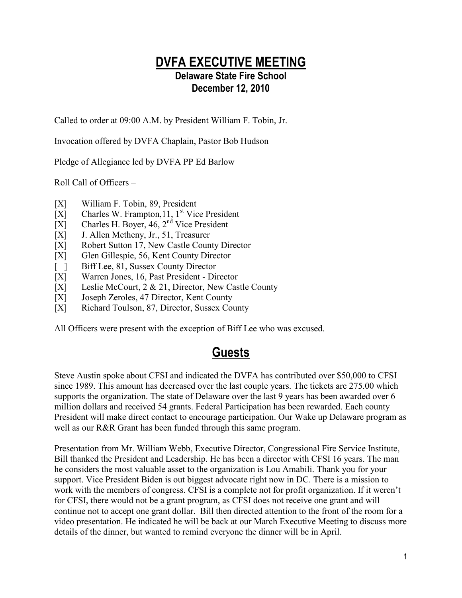### **DVFA EXECUTIVE MEETING Delaware State Fire School December 12, 2010**

Called to order at 09:00 A.M. by President William F. Tobin, Jr.

Invocation offered by DVFA Chaplain, Pastor Bob Hudson

Pledge of Allegiance led by DVFA PP Ed Barlow

Roll Call of Officers –

- [X] William F. Tobin, 89, President
- $[X]$  Charles W. Frampton, 11, 1<sup>st</sup> Vice President
- [X] Charles H. Boyer,  $46, 2<sup>nd</sup>$  Vice President
- [X] J. Allen Metheny, Jr., 51, Treasurer
- [X] Robert Sutton 17, New Castle County Director
- [X] Glen Gillespie, 56, Kent County Director
- [ ] Biff Lee, 81, Sussex County Director
- [X] Warren Jones, 16, Past President Director
- [X] Leslie McCourt, 2 & 21, Director, New Castle County
- [X] Joseph Zeroles, 47 Director, Kent County
- [X] Richard Toulson, 87, Director, Sussex County

All Officers were present with the exception of Biff Lee who was excused.

# **Guests**

Steve Austin spoke about CFSI and indicated the DVFA has contributed over \$50,000 to CFSI since 1989. This amount has decreased over the last couple years. The tickets are 275.00 which supports the organization. The state of Delaware over the last 9 years has been awarded over 6 million dollars and received 54 grants. Federal Participation has been rewarded. Each county President will make direct contact to encourage participation. Our Wake up Delaware program as well as our R&R Grant has been funded through this same program.

Presentation from Mr. William Webb, Executive Director, Congressional Fire Service Institute, Bill thanked the President and Leadership. He has been a director with CFSI 16 years. The man he considers the most valuable asset to the organization is Lou Amabili. Thank you for your support. Vice President Biden is out biggest advocate right now in DC. There is a mission to work with the members of congress. CFSI is a complete not for profit organization. If it weren't for CFSI, there would not be a grant program, as CFSI does not receive one grant and will continue not to accept one grant dollar. Bill then directed attention to the front of the room for a video presentation. He indicated he will be back at our March Executive Meeting to discuss more details of the dinner, but wanted to remind everyone the dinner will be in April.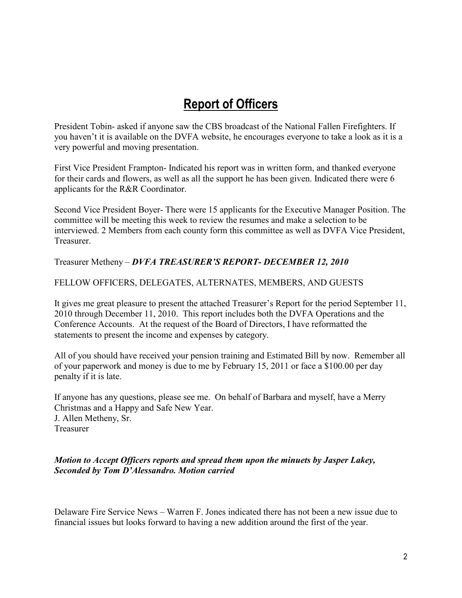## **Report of Officers**

President Tobin- asked if anyone saw the CBS broadcast of the National Fallen Firefighters. If you haven't it is available on the DVFA website, he encourages everyone to take a look as it is a very powerful and moving presentation.

First Vice President Frampton- Indicated his report was in written form, and thanked everyone for their cards and flowers, as well as all the support he has been given. Indicated there were 6 applicants for the R&R Coordinator.

Second Vice President Boyer- There were 15 applicants for the Executive Manager Position. The committee will be meeting this week to review the resumes and make a selection to be interviewed. 2 Members from each county form this committee as well as DVFA Vice President, Treasurer.

Treasurer Metheny – *DVFA TREASURER'S REPORT- DECEMBER 12, 2010*

#### FELLOW OFFICERS, DELEGATES, ALTERNATES, MEMBERS, AND GUESTS

It gives me great pleasure to present the attached Treasurer's Report for the period September 11, 2010 through December 11, 2010. This report includes both the DVFA Operations and the Conference Accounts. At the request of the Board of Directors, I have reformatted the statements to present the income and expenses by category.

All of you should have received your pension training and Estimated Bill by now. Remember all of your paperwork and money is due to me by February 15, 2011 or face a \$100.00 per day penalty if it is late.

If anyone has any questions, please see me. On behalf of Barbara and myself, have a Merry Christmas and a Happy and Safe New Year. J. Allen Metheny, Sr. Treasurer

### *Motion to Accept Officers reports and spread them upon the minuets by Jasper Lakey, Seconded by Tom D'Alessandro. Motion carried*

Delaware Fire Service News – Warren F. Jones indicated there has not been a new issue due to financial issues but looks forward to having a new addition around the first of the year.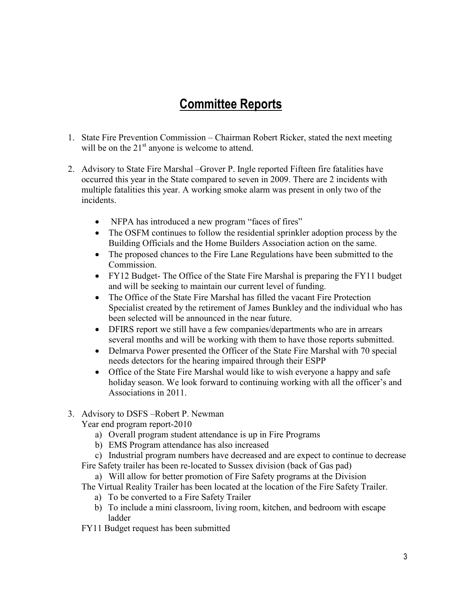# **Committee Reports**

- 1. State Fire Prevention Commission Chairman Robert Ricker, stated the next meeting will be on the  $21<sup>st</sup>$  anyone is welcome to attend.
- 2. Advisory to State Fire Marshal –Grover P. Ingle reported Fifteen fire fatalities have occurred this year in the State compared to seven in 2009. There are 2 incidents with multiple fatalities this year. A working smoke alarm was present in only two of the incidents.
	- NFPA has introduced a new program "faces of fires"
	- The OSFM continues to follow the residential sprinkler adoption process by the Building Officials and the Home Builders Association action on the same.
	- The proposed chances to the Fire Lane Regulations have been submitted to the Commission.
	- FY12 Budget- The Office of the State Fire Marshal is preparing the FY11 budget and will be seeking to maintain our current level of funding.
	- The Office of the State Fire Marshal has filled the vacant Fire Protection Specialist created by the retirement of James Bunkley and the individual who has been selected will be announced in the near future.
	- DFIRS report we still have a few companies/departments who are in arrears several months and will be working with them to have those reports submitted.
	- Delmarva Power presented the Officer of the State Fire Marshal with 70 special needs detectors for the hearing impaired through their ESPP
	- Office of the State Fire Marshal would like to wish everyone a happy and safe holiday season. We look forward to continuing working with all the officer's and Associations in 2011.

### 3. Advisory to DSFS –Robert P. Newman

Year end program report-2010

- a) Overall program student attendance is up in Fire Programs
- b) EMS Program attendance has also increased
- c) Industrial program numbers have decreased and are expect to continue to decrease
- Fire Safety trailer has been re-located to Sussex division (back of Gas pad)
	- a) Will allow for better promotion of Fire Safety programs at the Division
- The Virtual Reality Trailer has been located at the location of the Fire Safety Trailer.
	- a) To be converted to a Fire Safety Trailer
	- b) To include a mini classroom, living room, kitchen, and bedroom with escape ladder
- FY11 Budget request has been submitted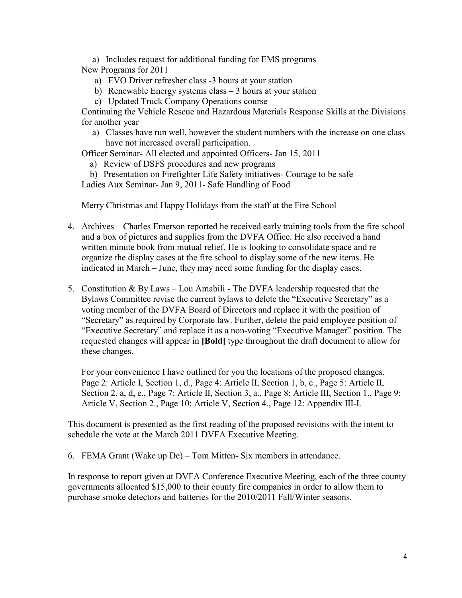- a) Includes request for additional funding for EMS programs
- New Programs for 2011
	- a) EVO Driver refresher class -3 hours at your station
	- b) Renewable Energy systems class 3 hours at your station
	- c) Updated Truck Company Operations course

Continuing the Vehicle Rescue and Hazardous Materials Response Skills at the Divisions for another year

a) Classes have run well, however the student numbers with the increase on one class have not increased overall participation.

Officer Seminar- All elected and appointed Officers- Jan 15, 2011

- a) Review of DSFS procedures and new programs
- b) Presentation on Firefighter Life Safety initiatives- Courage to be safe Ladies Aux Seminar- Jan 9, 2011- Safe Handling of Food

Merry Christmas and Happy Holidays from the staff at the Fire School

- 4. Archives Charles Emerson reported he received early training tools from the fire school and a box of pictures and supplies from the DVFA Office. He also received a hand written minute book from mutual relief. He is looking to consolidate space and re organize the display cases at the fire school to display some of the new items. He indicated in March – June, they may need some funding for the display cases.
- 5. Constitution & By Laws Lou Amabili The DVFA leadership requested that the Bylaws Committee revise the current bylaws to delete the "Executive Secretary" as a voting member of the DVFA Board of Directors and replace it with the position of "Secretary" as required by Corporate law. Further, delete the paid employee position of "Executive Secretary" and replace it as a non-voting "Executive Manager" position. The requested changes will appear in **[Bold]** type throughout the draft document to allow for these changes.

For your convenience I have outlined for you the locations of the proposed changes. Page 2: Article I, Section 1, d., Page 4: Article II, Section 1, b, c., Page 5: Article II, Section 2, a, d, e., Page 7: Article II, Section 3, a., Page 8: Article III, Section 1., Page 9: Article V, Section 2., Page 10: Article V, Section 4., Page 12: Appendix III-I.

This document is presented as the first reading of the proposed revisions with the intent to schedule the vote at the March 2011 DVFA Executive Meeting.

6. FEMA Grant (Wake up De) – Tom Mitten- Six members in attendance.

In response to report given at DVFA Conference Executive Meeting, each of the three county governments allocated \$15,000 to their county fire companies in order to allow them to purchase smoke detectors and batteries for the 2010/2011 Fall/Winter seasons.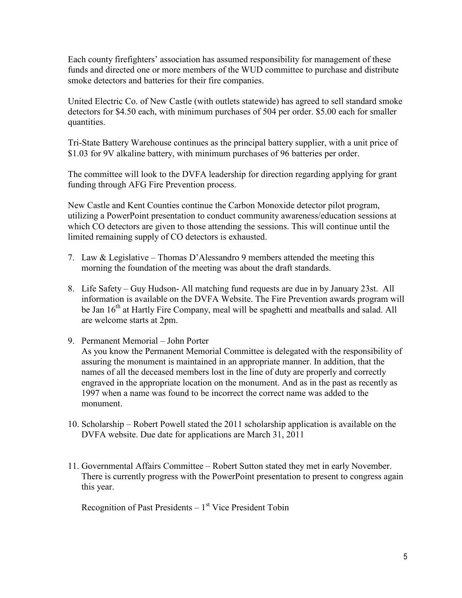Each county firefighters' association has assumed responsibility for management of these funds and directed one or more members of the WUD committee to purchase and distribute smoke detectors and batteries for their fire companies.

United Electric Co. of New Castle (with outlets statewide) has agreed to sell standard smoke detectors for \$4.50 each, with minimum purchases of 504 per order. \$5.00 each for smaller quantities.

Tri-State Battery Warehouse continues as the principal battery supplier, with a unit price of \$1.03 for 9V alkaline battery, with minimum purchases of 96 batteries per order.

The committee will look to the DVFA leadership for direction regarding applying for grant funding through AFG Fire Prevention process.

New Castle and Kent Counties continue the Carbon Monoxide detector pilot program, utilizing a PowerPoint presentation to conduct community awareness/education sessions at which CO detectors are given to those attending the sessions. This will continue until the limited remaining supply of CO detectors is exhausted.

- 7. Law & Legislative Thomas D'Alessandro 9 members attended the meeting this morning the foundation of the meeting was about the draft standards.
- 8. Life Safety Guy Hudson- All matching fund requests are due in by January 23st. All information is available on the DVFA Website. The Fire Prevention awards program will be Jan 16<sup>th</sup> at Hartly Fire Company, meal will be spaghetti and meatballs and salad. All are welcome starts at 2pm.
- 9. Permanent Memorial John Porter

As you know the Permanent Memorial Committee is delegated with the responsibility of assuring the monument is maintained in an appropriate manner. In addition, that the names of all the deceased members lost in the line of duty are properly and correctly engraved in the appropriate location on the monument. And as in the past as recently as 1997 when a name was found to be incorrect the correct name was added to the monument.

- 10. Scholarship Robert Powell stated the 2011 scholarship application is available on the DVFA website. Due date for applications are March 31, 2011
- 11. Governmental Affairs Committee Robert Sutton stated they met in early November. There is currently progress with the PowerPoint presentation to present to congress again this year.

Recognition of Past Presidents  $-1<sup>st</sup>$  Vice President Tobin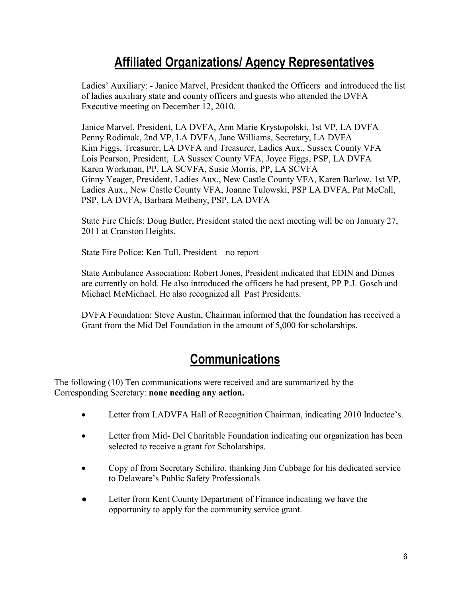# **Affiliated Organizations/ Agency Representatives**

Ladies' Auxiliary: - Janice Marvel, President thanked the Officers and introduced the list of ladies auxiliary state and county officers and guests who attended the DVFA Executive meeting on December 12, 2010.

Janice Marvel, President, LA DVFA, Ann Marie Krystopolski, 1st VP, LA DVFA Penny Rodimak, 2nd VP, LA DVFA, Jane Williams, Secretary, LA DVFA Kim Figgs, Treasurer, LA DVFA and Treasurer, Ladies Aux., Sussex County VFA Lois Pearson, President, LA Sussex County VFA, Joyce Figgs, PSP, LA DVFA Karen Workman, PP, LA SCVFA, Susie Morris, PP, LA SCVFA Ginny Yeager, President, Ladies Aux., New Castle County VFA, Karen Barlow, 1st VP, Ladies Aux., New Castle County VFA, Joanne Tulowski, PSP LA DVFA, Pat McCall, PSP, LA DVFA, Barbara Metheny, PSP, LA DVFA

State Fire Chiefs: Doug Butler, President stated the next meeting will be on January 27, 2011 at Cranston Heights.

State Fire Police: Ken Tull, President – no report

State Ambulance Association: Robert Jones, President indicated that EDIN and Dimes are currently on hold. He also introduced the officers he had present, PP P.J. Gosch and Michael McMichael. He also recognized all Past Presidents.

DVFA Foundation: Steve Austin, Chairman informed that the foundation has received a Grant from the Mid Del Foundation in the amount of 5,000 for scholarships.

# **Communications**

The following (10) Ten communications were received and are summarized by the Corresponding Secretary: **none needing any action.**

- Letter from LADVFA Hall of Recognition Chairman, indicating 2010 Inductee's.
- Letter from Mid- Del Charitable Foundation indicating our organization has been selected to receive a grant for Scholarships.
- Copy of from Secretary Schiliro, thanking Jim Cubbage for his dedicated service to Delaware's Public Safety Professionals
- Letter from Kent County Department of Finance indicating we have the opportunity to apply for the community service grant.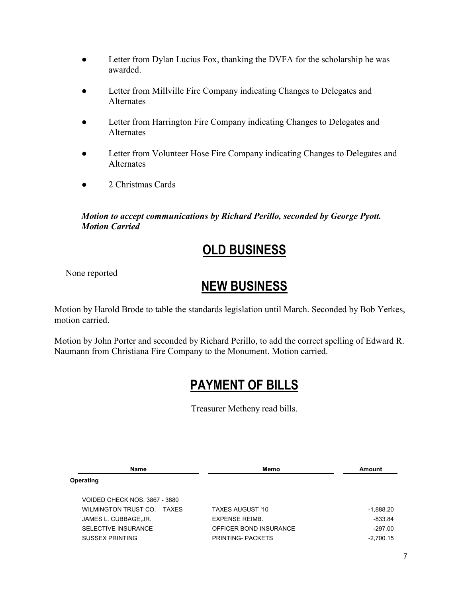- Letter from Dylan Lucius Fox, thanking the DVFA for the scholarship he was awarded.
- Letter from Millville Fire Company indicating Changes to Delegates and Alternates
- Letter from Harrington Fire Company indicating Changes to Delegates and Alternates
- Letter from Volunteer Hose Fire Company indicating Changes to Delegates and Alternates
- 2 Christmas Cards

*Motion to accept communications by Richard Perillo, seconded by George Pyott. Motion Carried* 

# **OLD BUSINESS**

None reported

### **NEW BUSINESS**

Motion by Harold Brode to table the standards legislation until March. Seconded by Bob Yerkes, motion carried.

Motion by John Porter and seconded by Richard Perillo, to add the correct spelling of Edward R. Naumann from Christiana Fire Company to the Monument. Motion carried.

# **PAYMENT OF BILLS**

Treasurer Metheny read bills.

| <b>Name</b>                   | Memo                    | Amount      |
|-------------------------------|-------------------------|-------------|
| Operating                     |                         |             |
| VOIDED CHECK NOS. 3867 - 3880 |                         |             |
| WILMINGTON TRUST CO. TAXES    | <b>TAXES AUGUST '10</b> | $-1,888.20$ |
| JAMES L. CUBBAGE, JR.         | <b>EXPENSE REIMB</b>    | $-833.84$   |
| SELECTIVE INSURANCE           | OFFICER BOND INSURANCE  | $-297.00$   |
| <b>SUSSEX PRINTING</b>        | PRINTING- PACKETS       | $-2,700.15$ |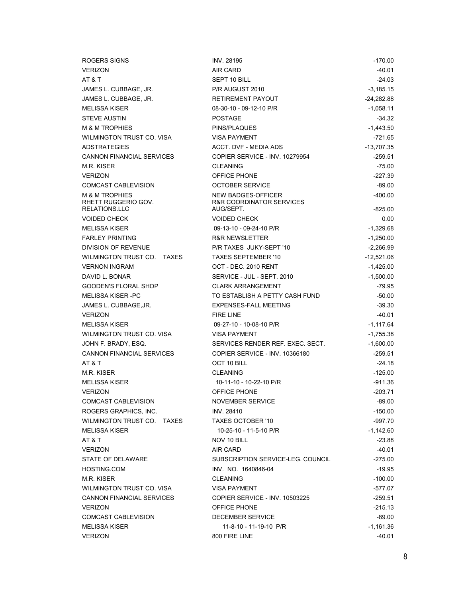| ROGERS SIGNS                                     | <b>INV. 28195</b>                              | $-170.00$    |
|--------------------------------------------------|------------------------------------------------|--------------|
| <b>VERIZON</b>                                   | AIR CARD                                       | -40.01       |
| AT & T                                           | SEPT 10 BILL                                   | $-24.03$     |
| JAMES L. CUBBAGE, JR.                            | P/R AUGUST 2010                                | $-3,185.15$  |
| JAMES L. CUBBAGE, JR.                            | RETIREMENT PAYOUT                              | $-24,282.88$ |
| <b>MELISSA KISER</b>                             | 08-30-10 - 09-12-10 P/R                        | $-1,058.11$  |
| <b>STEVE AUSTIN</b>                              | <b>POSTAGE</b>                                 | $-34.32$     |
| <b>M &amp; M TROPHIES</b>                        | PINS/PLAQUES                                   | $-1,443.50$  |
| WILMINGTON TRUST CO. VISA                        | <b>VISA PAYMENT</b>                            | $-721.65$    |
| <b>ADSTRATEGIES</b>                              | <b>ACCT. DVF - MEDIA ADS</b>                   | $-13,707.35$ |
| CANNON FINANCIAL SERVICES                        | COPIER SERVICE - INV. 10279954                 | $-259.51$    |
| M.R. KISER                                       | <b>CLEANING</b>                                | -75.00       |
| <b>VERIZON</b>                                   | OFFICE PHONE                                   | $-227.39$    |
| COMCAST CABLEVISION                              | <b>OCTOBER SERVICE</b>                         | $-89.00$     |
| <b>M &amp; M TROPHIES</b><br>RHETT RUGGERIO GOV. | NEW BADGES-OFFICER<br>R&R COORDINATOR SERVICES | $-400.00$    |
| RELATIONS.LLC                                    | AUG/SEPT.                                      | $-825.00$    |
| <b>VOIDED CHECK</b>                              | <b>VOIDED CHECK</b>                            | 0.00         |
| <b>MELISSA KISER</b>                             | 09-13-10 - 09-24-10 P/R                        | $-1,329.68$  |
| <b>FARLEY PRINTING</b>                           | <b>R&amp;R NEWSLETTER</b>                      | $-1,250.00$  |
| DIVISION OF REVENUE                              | P/R TAXES JUKY-SEPT '10                        | $-2,266.99$  |
| WILMINGTON TRUST CO. TAXES                       | <b>TAXES SEPTEMBER '10</b>                     | $-12,521.06$ |
| <b>VERNON INGRAM</b>                             | OCT - DEC. 2010 RENT                           | $-1,425.00$  |
| DAVID L. BONAR                                   | SERVICE - JUL - SEPT. 2010                     | $-1,500.00$  |
| <b>GOODEN'S FLORAL SHOP</b>                      | <b>CLARK ARRANGEMENT</b>                       | $-79.95$     |
| <b>MELISSA KISER-PC</b>                          | TO ESTABLISH A PETTY CASH FUND                 | $-50.00$     |
| JAMES L. CUBBAGE, JR.                            | <b>EXPENSES-FALL MEETING</b>                   | $-39.30$     |
| <b>VERIZON</b>                                   | <b>FIRE LINE</b>                               | $-40.01$     |
| <b>MELISSA KISER</b>                             | 09-27-10 - 10-08-10 P/R                        | $-1,117.64$  |
| WILMINGTON TRUST CO. VISA                        | <b>VISA PAYMENT</b>                            | $-1,755.38$  |
| JOHN F. BRADY, ESQ.                              | SERVICES RENDER REF. EXEC. SECT.               | $-1,600.00$  |
| <b>CANNON FINANCIAL SERVICES</b>                 | COPIER SERVICE - INV. 10366180                 | $-259.51$    |
| AT & T                                           | OCT 10 BILL                                    | $-24.18$     |
| M.R. KISER                                       | <b>CLEANING</b>                                | $-125.00$    |
| <b>MELISSA KISER</b>                             | 10-11-10 - 10-22-10 P/R                        | $-911.36$    |
| <b>VERIZON</b>                                   | OFFICE PHONE                                   | $-203.71$    |
| <b>COMCAST CABLEVISION</b>                       | NOVEMBER SERVICE                               | -89.00       |
| ROGERS GRAPHICS, INC.                            | INV. 28410                                     | $-150.00$    |
| WILMINGTON TRUST CO. TAXES                       | TAXES OCTOBER '10                              | $-997.70$    |
| <b>MELISSA KISER</b>                             | 10-25-10 - 11-5-10 P/R                         | $-1,142.60$  |
| AT&T                                             | NOV 10 BILL                                    | $-23.88$     |
| <b>VERIZON</b>                                   | AIR CARD                                       | -40.01       |
| STATE OF DELAWARE                                | SUBSCRIPTION SERVICE-LEG. COUNCIL              | -275.00      |
| <b>HOSTING.COM</b>                               | INV. NO. 1640846-04                            | $-19.95$     |
| M.R. KISER                                       | <b>CLEANING</b>                                | $-100.00$    |
| WILMINGTON TRUST CO. VISA                        | <b>VISA PAYMENT</b>                            | -577.07      |
| <b>CANNON FINANCIAL SERVICES</b>                 | <b>COPIER SERVICE - INV. 10503225</b>          | -259.51      |
| <b>VERIZON</b>                                   | OFFICE PHONE                                   | $-215.13$    |
| COMCAST CABLEVISION                              | DECEMBER SERVICE                               | $-89.00$     |
| <b>MELISSA KISER</b>                             | 11-8-10 - 11-19-10 P/R                         | $-1,161.36$  |
| <b>VERIZON</b>                                   | 800 FIRE LINE                                  | $-40.01$     |
|                                                  |                                                |              |